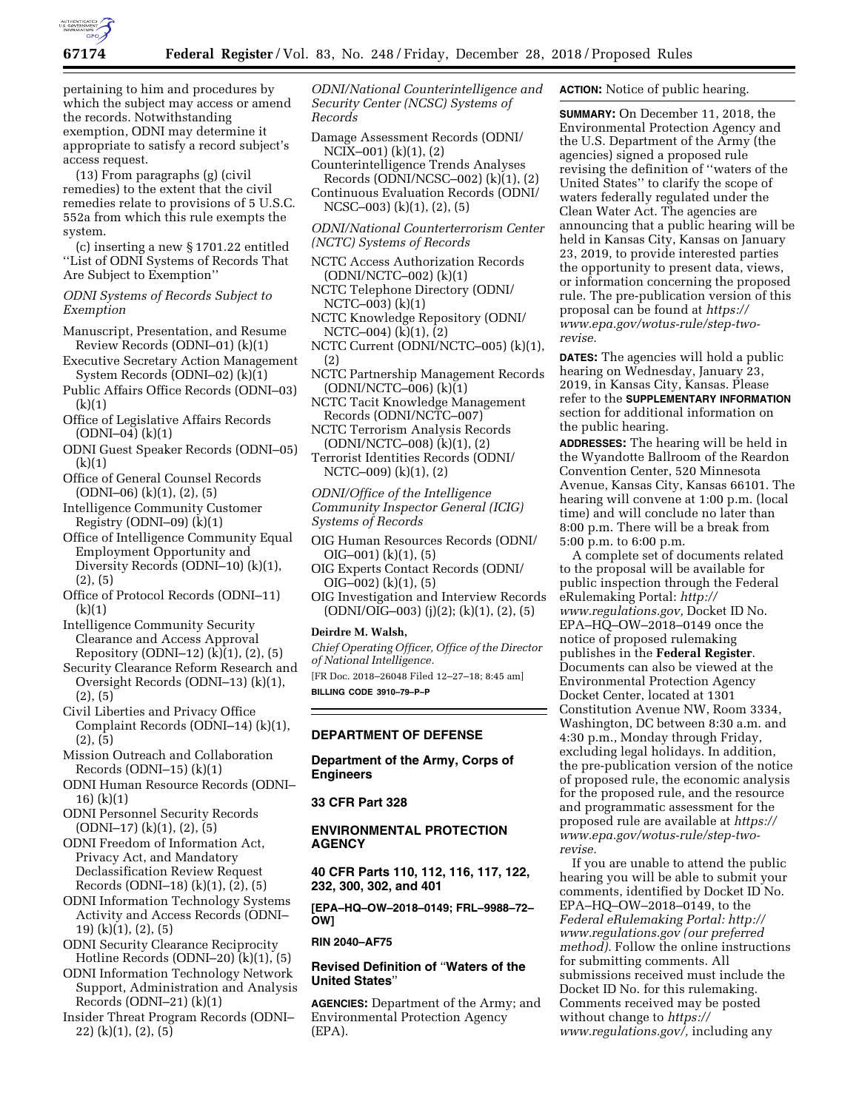

pertaining to him and procedures by which the subject may access or amend the records. Notwithstanding exemption, ODNI may determine it appropriate to satisfy a record subject's access request.

(13) From paragraphs (g) (civil remedies) to the extent that the civil remedies relate to provisions of 5 U.S.C. 552a from which this rule exempts the system.

(c) inserting a new § 1701.22 entitled ''List of ODNI Systems of Records That Are Subject to Exemption''

*ODNI Systems of Records Subject to Exemption* 

- Manuscript, Presentation, and Resume Review Records (ODNI–01) (k)(1)
- Executive Secretary Action Management System Records (ODNI–02) (k)(1)
- Public Affairs Office Records (ODNI–03) (k)(1)
- Office of Legislative Affairs Records (ODNI–04) (k)(1)
- ODNI Guest Speaker Records (ODNI–05) (k)(1)
- Office of General Counsel Records (ODNI–06) (k)(1), (2), (5)
- Intelligence Community Customer Registry (ODNI $-09$ ) ( $\dot{k}$ )(1)
- Office of Intelligence Community Equal Employment Opportunity and Diversity Records (ODNI–10) (k)(1), (2), (5)
- Office of Protocol Records (ODNI–11) (k)(1)
- Intelligence Community Security Clearance and Access Approval Repository (ODNI–12) (k)(1), (2), (5)
- Security Clearance Reform Research and Oversight Records (ODNI–13) (k)(1), (2), (5)
- Civil Liberties and Privacy Office Complaint Records (ODNI–14) (k)(1), (2), (5)
- Mission Outreach and Collaboration Records  $(DDNI-15)$   $(k)(1)$
- ODNI Human Resource Records (ODNI– 16) (k)(1)
- ODNI Personnel Security Records  $(DDNI–17)$   $(k)(1)$ ,  $(2)$ ,  $(5)$
- ODNI Freedom of Information Act, Privacy Act, and Mandatory Declassification Review Request Records (ODNI–18) (k)(1), (2), (5)
- ODNI Information Technology Systems Activity and Access Records (ODNI– 19) (k)(1), (2), (5)
- ODNI Security Clearance Reciprocity Hotline Records (ODNI–20) (k)(1), (5)
- ODNI Information Technology Network Support, Administration and Analysis Records (ODNI–21) (k)(1)
- Insider Threat Program Records (ODNI– 22) (k)(1), (2), (5)

*ODNI/National Counterintelligence and Security Center (NCSC) Systems of Records* 

- Damage Assessment Records (ODNI/ NCIX–001) (k)(1), (2)
- Counterintelligence Trends Analyses Records (ODNI/NCSC–002) (k)(1), (2)
- Continuous Evaluation Records (ODNI/ NCSC–003) (k)(1), (2), (5)
- *ODNI/National Counterterrorism Center (NCTC) Systems of Records*
- NCTC Access Authorization Records (ODNI/NCTC–002) (k)(1)
- NCTC Telephone Directory (ODNI/ NCTC–003) (k)(1)
- NCTC Knowledge Repository (ODNI/ NCTC–004) (k)(1), (2)
- NCTC Current (ODNI/NCTC–005) (k)(1), (2)
- NCTC Partnership Management Records (ODNI/NCTC–006) (k)(1)
- NCTC Tacit Knowledge Management Records (ODNI/NCTC–007)
- NCTC Terrorism Analysis Records (ODNI/NCTC–008) (k)(1), (2)
- Terrorist Identities Records (ODNI/ NCTC–009) (k)(1), (2)

*ODNI/Office of the Intelligence Community Inspector General (ICIG) Systems of Records* 

- OIG Human Resources Records (ODNI/ OIG–001) (k)(1), (5)
- OIG Experts Contact Records (ODNI/ OIG–002) (k)(1), (5)
- OIG Investigation and Interview Records (ODNI/OIG–003) (j)(2); (k)(1), (2), (5)

## **Deirdre M. Walsh,**

*Chief Operating Officer, Office of the Director of National Intelligence.* 

[FR Doc. 2018–26048 Filed 12–27–18; 8:45 am] **BILLING CODE 3910–79–P–P** 

# **DEPARTMENT OF DEFENSE**

**Department of the Army, Corps of Engineers** 

# **33 CFR Part 328**

# **ENVIRONMENTAL PROTECTION AGENCY**

**40 CFR Parts 110, 112, 116, 117, 122, 232, 300, 302, and 401** 

**[EPA–HQ–OW–2018–0149; FRL–9988–72– OW]** 

# **RIN 2040–AF75**

# **Revised Definition of** ''**Waters of the United States**''

**AGENCIES:** Department of the Army; and Environmental Protection Agency (EPA).

**ACTION:** Notice of public hearing.

**SUMMARY:** On December 11, 2018, the Environmental Protection Agency and the U.S. Department of the Army (the agencies) signed a proposed rule revising the definition of ''waters of the United States'' to clarify the scope of waters federally regulated under the Clean Water Act. The agencies are announcing that a public hearing will be held in Kansas City, Kansas on January 23, 2019, to provide interested parties the opportunity to present data, views, or information concerning the proposed rule. The pre-publication version of this proposal can be found at *[https://](https://www.epa.gov/wotus-rule/step-two-revise) [www.epa.gov/wotus-rule/step-two](https://www.epa.gov/wotus-rule/step-two-revise)[revise.](https://www.epa.gov/wotus-rule/step-two-revise)* 

**DATES:** The agencies will hold a public hearing on Wednesday, January 23, 2019, in Kansas City, Kansas. Please refer to the **SUPPLEMENTARY INFORMATION** section for additional information on the public hearing.

**ADDRESSES:** The hearing will be held in the Wyandotte Ballroom of the Reardon Convention Center, 520 Minnesota Avenue, Kansas City, Kansas 66101. The hearing will convene at 1:00 p.m. (local time) and will conclude no later than 8:00 p.m. There will be a break from 5:00 p.m. to 6:00 p.m.

A complete set of documents related to the proposal will be available for public inspection through the Federal eRulemaking Portal: *[http://](http://www.regulations.gov) [www.regulations.gov,](http://www.regulations.gov)* Docket ID No. EPA–HQ–OW–2018–0149 once the notice of proposed rulemaking publishes in the **Federal Register**. Documents can also be viewed at the Environmental Protection Agency Docket Center, located at 1301 Constitution Avenue NW, Room 3334, Washington, DC between 8:30 a.m. and 4:30 p.m., Monday through Friday, excluding legal holidays. In addition, the pre-publication version of the notice of proposed rule, the economic analysis for the proposed rule, and the resource and programmatic assessment for the proposed rule are available at *[https://](https://www.epa.gov/wotus-rule/step-two-revise) [www.epa.gov/wotus-rule/step-two](https://www.epa.gov/wotus-rule/step-two-revise)[revise.](https://www.epa.gov/wotus-rule/step-two-revise)* 

If you are unable to attend the public hearing you will be able to submit your comments, identified by Docket ID No. EPA–HQ–OW–2018–0149, to the *Federal eRulemaking Portal: [http://](http://www.regulations.gov) [www.regulations.gov](http://www.regulations.gov) (our preferred method).* Follow the online instructions for submitting comments. All submissions received must include the Docket ID No. for this rulemaking. Comments received may be posted without change to *[https://](https://www.regulations.gov/) [www.regulations.gov/,](https://www.regulations.gov/)* including any